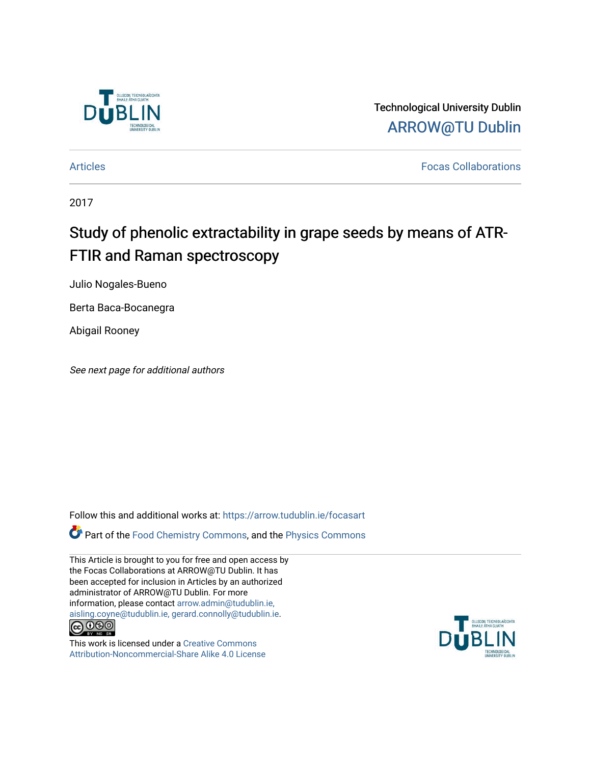

Technological University Dublin [ARROW@TU Dublin](https://arrow.tudublin.ie/) 

[Articles](https://arrow.tudublin.ie/focasart) [Focas Collaborations](https://arrow.tudublin.ie/focas) 

2017

# Study of phenolic extractability in grape seeds by means of ATR-FTIR and Raman spectroscopy

Julio Nogales-Bueno

Berta Baca-Bocanegra

Abigail Rooney

See next page for additional authors

Follow this and additional works at: [https://arrow.tudublin.ie/focasart](https://arrow.tudublin.ie/focasart?utm_source=arrow.tudublin.ie%2Ffocasart%2F4&utm_medium=PDF&utm_campaign=PDFCoverPages)

Part of the [Food Chemistry Commons,](http://network.bepress.com/hgg/discipline/87?utm_source=arrow.tudublin.ie%2Ffocasart%2F4&utm_medium=PDF&utm_campaign=PDFCoverPages) and the [Physics Commons](http://network.bepress.com/hgg/discipline/193?utm_source=arrow.tudublin.ie%2Ffocasart%2F4&utm_medium=PDF&utm_campaign=PDFCoverPages) 

This Article is brought to you for free and open access by the Focas Collaborations at ARROW@TU Dublin. It has been accepted for inclusion in Articles by an authorized administrator of ARROW@TU Dublin. For more information, please contact [arrow.admin@tudublin.ie,](mailto:arrow.admin@tudublin.ie,%20aisling.coyne@tudublin.ie,%20gerard.connolly@tudublin.ie)  [aisling.coyne@tudublin.ie, gerard.connolly@tudublin.ie](mailto:arrow.admin@tudublin.ie,%20aisling.coyne@tudublin.ie,%20gerard.connolly@tudublin.ie).  $\bigodot$   $\bigodot$   $\bigodot$ 

This work is licensed under a [Creative Commons](http://creativecommons.org/licenses/by-nc-sa/4.0/) [Attribution-Noncommercial-Share Alike 4.0 License](http://creativecommons.org/licenses/by-nc-sa/4.0/)

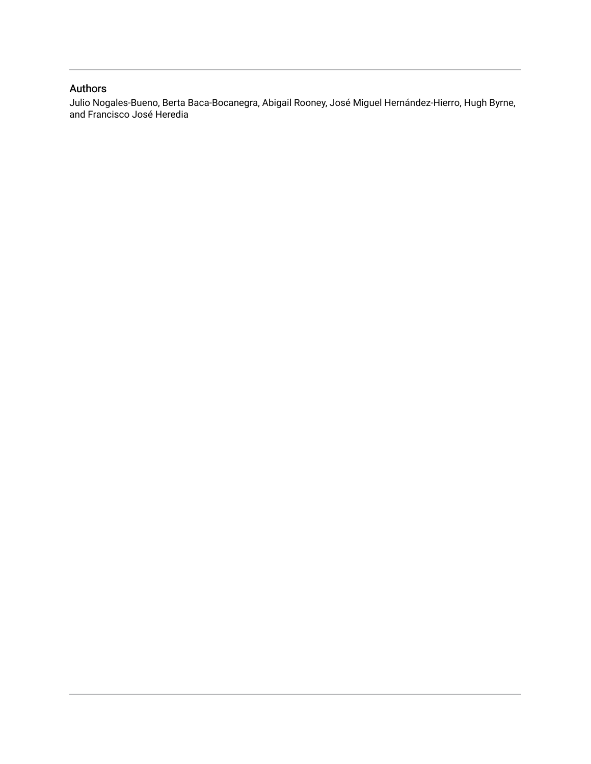## Authors

Julio Nogales-Bueno, Berta Baca-Bocanegra, Abigail Rooney, José Miguel Hernández-Hierro, Hugh Byrne, and Francisco José Heredia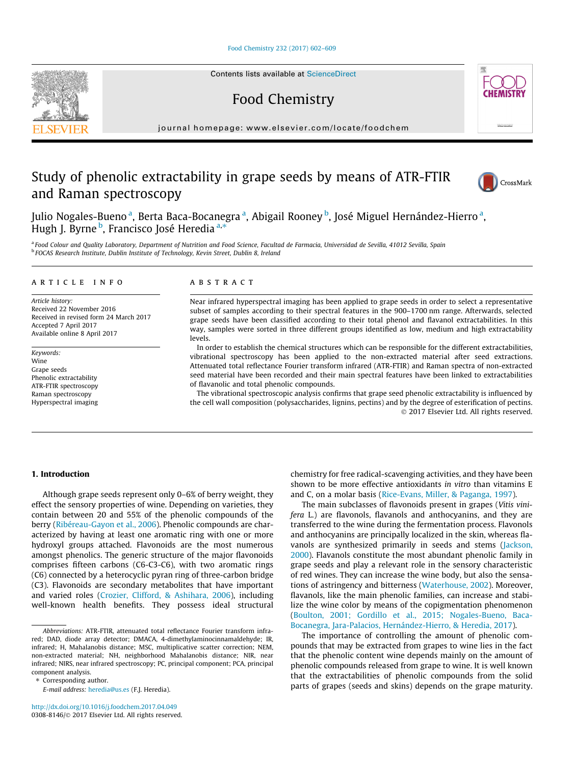#### [Food Chemistry 232 \(2017\) 602–609](http://dx.doi.org/10.1016/j.foodchem.2017.04.049)

Contents lists available at [ScienceDirect](http://www.sciencedirect.com/science/journal/03088146)

Food Chemistry

journal homepage: [www.elsevier.com/locate/foodchem](http://www.elsevier.com/locate/foodchem)

# Study of phenolic extractability in grape seeds by means of ATR-FTIR and Raman spectroscopy



a Food Colour and Quality Laboratory, Department of Nutrition and Food Science, Facultad de Farmacia, Universidad de Sevilla, 41012 Sevilla, Spain <sup>b</sup> FOCAS Research Institute, Dublin Institute of Technology, Kevin Street, Dublin 8, Ireland

#### article info

Article history: Received 22 November 2016 Received in revised form 24 March 2017 Accepted 7 April 2017 Available online 8 April 2017

Keywords: Wine Grape seeds Phenolic extractability ATR-FTIR spectroscopy Raman spectroscopy Hyperspectral imaging

#### ABSTRACT

Near infrared hyperspectral imaging has been applied to grape seeds in order to select a representative subset of samples according to their spectral features in the 900–1700 nm range. Afterwards, selected grape seeds have been classified according to their total phenol and flavanol extractabilities. In this way, samples were sorted in three different groups identified as low, medium and high extractability levels.

In order to establish the chemical structures which can be responsible for the different extractabilities, vibrational spectroscopy has been applied to the non-extracted material after seed extractions. Attenuated total reflectance Fourier transform infrared (ATR-FTIR) and Raman spectra of non-extracted seed material have been recorded and their main spectral features have been linked to extractabilities of flavanolic and total phenolic compounds.

The vibrational spectroscopic analysis confirms that grape seed phenolic extractability is influenced by the cell wall composition (polysaccharides, lignins, pectins) and by the degree of esterification of pectins. 2017 Elsevier Ltd. All rights reserved.

#### 1. Introduction

Although grape seeds represent only 0–6% of berry weight, they effect the sensory properties of wine. Depending on varieties, they contain between 20 and 55% of the phenolic compounds of the berry [\(Ribéreau-Gayon et al., 2006](#page-8-0)). Phenolic compounds are characterized by having at least one aromatic ring with one or more hydroxyl groups attached. Flavonoids are the most numerous amongst phenolics. The generic structure of the major flavonoids comprises fifteen carbons (C6-C3-C6), with two aromatic rings (C6) connected by a heterocyclic pyran ring of three-carbon bridge (C3). Flavonoids are secondary metabolites that have important and varied roles [\(Crozier, Clifford, & Ashihara, 2006](#page-8-0)), including well-known health benefits. They possess ideal structural chemistry for free radical-scavenging activities, and they have been shown to be more effective antioxidants in vitro than vitamins E and C, on a molar basis [\(Rice-Evans, Miller, & Paganga, 1997\)](#page-8-0).

The main subclasses of flavonoids present in grapes (Vitis vinifera L.) are flavonols, flavanols and anthocyanins, and they are transferred to the wine during the fermentation process. Flavonols and anthocyanins are principally localized in the skin, whereas fla-vanols are synthesized primarily in seeds and stems [\(Jackson,](#page-8-0) [2000](#page-8-0)). Flavanols constitute the most abundant phenolic family in grape seeds and play a relevant role in the sensory characteristic of red wines. They can increase the wine body, but also the sensations of astringency and bitterness [\(Waterhouse, 2002](#page-9-0)). Moreover, flavanols, like the main phenolic families, can increase and stabilize the wine color by means of the copigmentation phenomenon ([Boulton, 2001; Gordillo et al., 2015; Nogales-Bueno, Baca-](#page-8-0)[Bocanegra, Jara-Palacios, Hernández-Hierro, & Heredia, 2017\)](#page-8-0).

The importance of controlling the amount of phenolic compounds that may be extracted from grapes to wine lies in the fact that the phenolic content wine depends mainly on the amount of phenolic compounds released from grape to wine. It is well known that the extractabilities of phenolic compounds from the solid parts of grapes (seeds and skins) depends on the grape maturity.







Abbreviations: ATR-FTIR, attenuated total reflectance Fourier transform infrared; DAD, diode array detector; DMACA, 4-dimethylaminocinnamaldehyde; IR, infrared; H, Mahalanobis distance; MSC, multiplicative scatter correction; NEM, non-extracted material; NH, neighborhood Mahalanobis distance; NIR, near infrared; NIRS, near infrared spectroscopy; PC, principal component; PCA, principal component analysis.

<sup>⇑</sup> Corresponding author.

E-mail address: [heredia@us.es](mailto:heredia@us.es) (F.J. Heredia).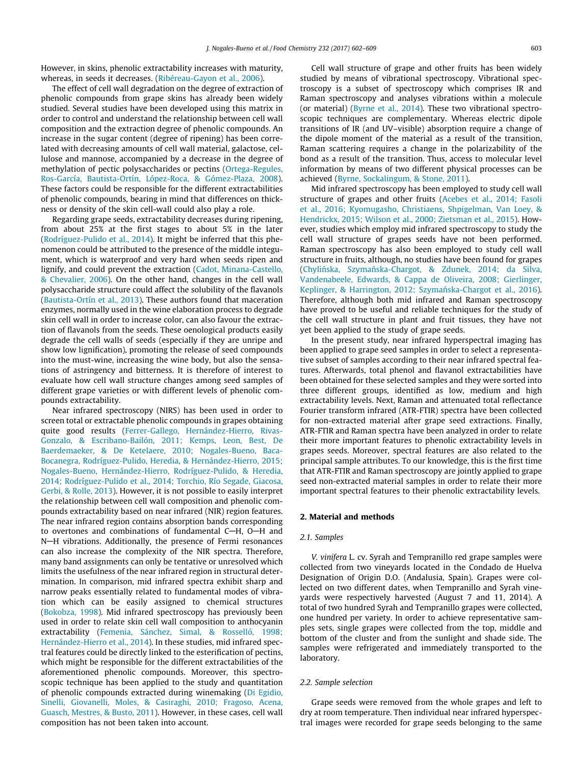However, in skins, phenolic extractability increases with maturity, whereas, in seeds it decreases. [\(Ribéreau-Gayon et al., 2006\)](#page-8-0).

The effect of cell wall degradation on the degree of extraction of phenolic compounds from grape skins has already been widely studied. Several studies have been developed using this matrix in order to control and understand the relationship between cell wall composition and the extraction degree of phenolic compounds. An increase in the sugar content (degree of ripening) has been correlated with decreasing amounts of cell wall material, galactose, cellulose and mannose, accompanied by a decrease in the degree of methylation of pectic polysaccharides or pectins [\(Ortega-Regules,](#page-8-0) [Ros-García, Bautista-Ortín, López-Roca, & Gómez-Plaza, 2008\)](#page-8-0). These factors could be responsible for the different extractabilities of phenolic compounds, bearing in mind that differences on thickness or density of the skin cell-wall could also play a role.

Regarding grape seeds, extractability decreases during ripening, from about 25% at the first stages to about 5% in the later ([Rodríguez-Pulido et al., 2014\)](#page-8-0). It might be inferred that this phenomenon could be attributed to the presence of the middle integument, which is waterproof and very hard when seeds ripen and lignify, and could prevent the extraction ([Cadot, Minana-Castello,](#page-8-0) [& Chevalier, 2006\)](#page-8-0). On the other hand, changes in the cell wall polysaccharide structure could affect the solubility of the flavanols ([Bautista-Ortín et al., 2013](#page-8-0)). These authors found that maceration enzymes, normally used in the wine elaboration process to degrade skin cell wall in order to increase color, can also favour the extraction of flavanols from the seeds. These oenological products easily degrade the cell walls of seeds (especially if they are unripe and show low lignification), promoting the release of seed compounds into the must-wine, increasing the wine body, but also the sensations of astringency and bitterness. It is therefore of interest to evaluate how cell wall structure changes among seed samples of different grape varieties or with different levels of phenolic compounds extractability.

Near infrared spectroscopy (NIRS) has been used in order to screen total or extractable phenolic compounds in grapes obtaining quite good results [\(Ferrer-Gallego, Hernández-Hierro, Rivas-](#page-8-0)[Gonzalo, & Escribano-Bailón, 2011; Kemps, Leon, Best, De](#page-8-0) [Baerdemaeker, & De Ketelaere, 2010; Nogales-Bueno, Baca-](#page-8-0)[Bocanegra, Rodríguez-Pulido, Heredia, & Hernández-Hierro, 2015;](#page-8-0) [Nogales-Bueno, Hernández-Hierro, Rodríguez-Pulido, & Heredia,](#page-8-0) [2014; Rodríguez-Pulido et al., 2014; Torchio, Río Segade, Giacosa,](#page-8-0) [Gerbi, & Rolle, 2013](#page-8-0)). However, it is not possible to easily interpret the relationship between cell wall composition and phenolic compounds extractability based on near infrared (NIR) region features. The near infrared region contains absorption bands corresponding to overtones and combinations of fundamental C $-H$ , O $-H$  and N-H vibrations. Additionally, the presence of Fermi resonances can also increase the complexity of the NIR spectra. Therefore, many band assignments can only be tentative or unresolved which limits the usefulness of the near infrared region in structural determination. In comparison, mid infrared spectra exhibit sharp and narrow peaks essentially related to fundamental modes of vibration which can be easily assigned to chemical structures ([Bokobza, 1998\)](#page-8-0). Mid infrared spectroscopy has previously been used in order to relate skin cell wall composition to anthocyanin extractability ([Femenia, Sánchez, Simal, & Rosselló, 1998;](#page-8-0) [Hernández-Hierro et al., 2014](#page-8-0)). In these studies, mid infrared spectral features could be directly linked to the esterification of pectins, which might be responsible for the different extractabilities of the aforementioned phenolic compounds. Moreover, this spectroscopic technique has been applied to the study and quantitation of phenolic compounds extracted during winemaking ([Di Egidio,](#page-8-0) [Sinelli, Giovanelli, Moles, & Casiraghi, 2010; Fragoso, Acena,](#page-8-0) [Guasch, Mestres, & Busto, 2011\)](#page-8-0). However, in these cases, cell wall composition has not been taken into account.

Cell wall structure of grape and other fruits has been widely studied by means of vibrational spectroscopy. Vibrational spectroscopy is a subset of spectroscopy which comprises IR and Raman spectroscopy and analyses vibrations within a molecule (or material) ([Byrne et al., 2014\)](#page-8-0). These two vibrational spectroscopic techniques are complementary. Whereas electric dipole transitions of IR (and UV–visible) absorption require a change of the dipole moment of the material as a result of the transition, Raman scattering requires a change in the polarizability of the bond as a result of the transition. Thus, access to molecular level information by means of two different physical processes can be achieved ([Byrne, Sockalingum, & Stone, 2011\)](#page-8-0).

Mid infrared spectroscopy has been employed to study cell wall structure of grapes and other fruits [\(Acebes et al., 2014; Fasoli](#page-8-0) [et al., 2016; Kyomugasho, Christiaens, Shpigelman, Van Loey, &](#page-8-0) [Hendrickx, 2015; Wilson et al., 2000; Zietsman et al., 2015](#page-8-0)). However, studies which employ mid infrared spectroscopy to study the cell wall structure of grapes seeds have not been performed. Raman spectroscopy has also been employed to study cell wall structure in fruits, although, no studies have been found for grapes (Chylińska, Szymań[ska-Chargot, & Zdunek, 2014; da Silva,](#page-8-0) [Vandenabeele, Edwards, & Cappa de Oliveira, 2008; Gierlinger,](#page-8-0) Keplinger, & Harrington, 2012; Szymańska-Chargot et al., 2016). Therefore, although both mid infrared and Raman spectroscopy have proved to be useful and reliable techniques for the study of the cell wall structure in plant and fruit tissues, they have not yet been applied to the study of grape seeds.

In the present study, near infrared hyperspectral imaging has been applied to grape seed samples in order to select a representative subset of samples according to their near infrared spectral features. Afterwards, total phenol and flavanol extractabilities have been obtained for these selected samples and they were sorted into three different groups, identified as low, medium and high extractability levels. Next, Raman and attenuated total reflectance Fourier transform infrared (ATR-FTIR) spectra have been collected for non-extracted material after grape seed extractions. Finally, ATR-FTIR and Raman spectra have been analyzed in order to relate their more important features to phenolic extractability levels in grapes seeds. Moreover, spectral features are also related to the principal sample attributes. To our knowledge, this is the first time that ATR-FTIR and Raman spectroscopy are jointly applied to grape seed non-extracted material samples in order to relate their more important spectral features to their phenolic extractability levels.

#### 2. Material and methods

#### 2.1. Samples

V. vinifera L. cv. Syrah and Tempranillo red grape samples were collected from two vineyards located in the Condado de Huelva Designation of Origin D.O. (Andalusia, Spain). Grapes were collected on two different dates, when Tempranillo and Syrah vineyards were respectively harvested (August 7 and 11, 2014). A total of two hundred Syrah and Tempranillo grapes were collected, one hundred per variety. In order to achieve representative samples sets, single grapes were collected from the top, middle and bottom of the cluster and from the sunlight and shade side. The samples were refrigerated and immediately transported to the laboratory.

#### 2.2. Sample selection

Grape seeds were removed from the whole grapes and left to dry at room temperature. Then individual near infrared hyperspectral images were recorded for grape seeds belonging to the same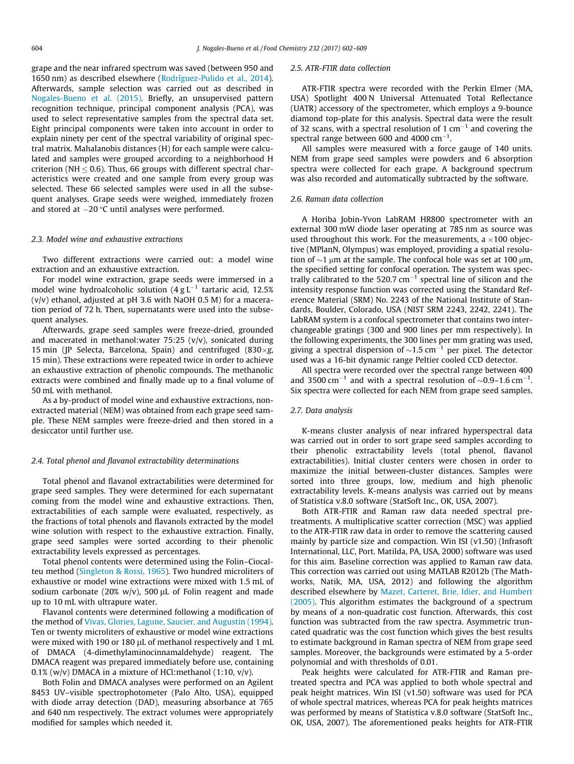grape and the near infrared spectrum was saved (between 950 and 1650 nm) as described elsewhere [\(Rodríguez-Pulido et al., 2014\)](#page-8-0). Afterwards, sample selection was carried out as described in [Nogales-Bueno et al. \(2015\)](#page-8-0). Briefly, an unsupervised pattern recognition technique, principal component analysis (PCA), was used to select representative samples from the spectral data set. Eight principal components were taken into account in order to explain ninety per cent of the spectral variability of original spectral matrix. Mahalanobis distances (H) for each sample were calculated and samples were grouped according to a neighborhood H criterion (NH  $\leq$  0.6). Thus, 66 groups with different spectral characteristics were created and one sample from every group was selected. These 66 selected samples were used in all the subsequent analyses. Grape seeds were weighed, immediately frozen and stored at  $-20$  °C until analyses were performed.

#### 2.3. Model wine and exhaustive extractions

Two different extractions were carried out: a model wine extraction and an exhaustive extraction.

For model wine extraction, grape seeds were immersed in a model wine hydroalcoholic solution  $(4 \text{ g L}^{-1})$  tartaric acid, 12.5%  $(v/v)$  ethanol, adjusted at pH 3.6 with NaOH 0.5 M) for a maceration period of 72 h. Then, supernatants were used into the subsequent analyses.

Afterwards, grape seed samples were freeze-dried, grounded and macerated in methanol:water 75:25 (v/v), sonicated during 15 min (JP Selecta, Barcelona, Spain) and centrifuged (830 $\times$ g, 15 min). These extractions were repeated twice in order to achieve an exhaustive extraction of phenolic compounds. The methanolic extracts were combined and finally made up to a final volume of 50 mL with methanol.

As a by-product of model wine and exhaustive extractions, nonextracted material (NEM) was obtained from each grape seed sample. These NEM samples were freeze-dried and then stored in a desiccator until further use.

#### 2.4. Total phenol and flavanol extractability determinations

Total phenol and flavanol extractabilities were determined for grape seed samples. They were determined for each supernatant coming from the model wine and exhaustive extractions. Then, extractabilities of each sample were evaluated, respectively, as the fractions of total phenols and flavanols extracted by the model wine solution with respect to the exhaustive extraction. Finally, grape seed samples were sorted according to their phenolic extractability levels expressed as percentages.

Total phenol contents were determined using the Folin–Ciocalteu method [\(Singleton & Rossi, 1965\)](#page-8-0). Two hundred microliters of exhaustive or model wine extractions were mixed with 1.5 mL of sodium carbonate (20% w/v), 500  $\mu$ L of Folin reagent and made up to 10 mL with ultrapure water.

Flavanol contents were determined following a modification of the method of [Vivas, Glories, Lagune, Saucier, and Augustin \(1994\).](#page-8-0) Ten or twenty microliters of exhaustive or model wine extractions were mixed with 190 or 180 µL of methanol respectively and 1 mL of DMACA (4-dimethylaminocinnamaldehyde) reagent. The DMACA reagent was prepared immediately before use, containing  $0.1\%$  (w/v) DMACA in a mixture of HCl:methanol (1:10, v/v).

Both Folin and DMACA analyses were performed on an Agilent 8453 UV–visible spectrophotometer (Palo Alto, USA), equipped with diode array detection (DAD), measuring absorbance at 765 and 640 nm respectively. The extract volumes were appropriately modified for samples which needed it.

#### 2.5. ATR-FTIR data collection

ATR-FTIR spectra were recorded with the Perkin Elmer (MA, USA) Spotlight 400 N Universal Attenuated Total Reflectance (UATR) accessory of the spectrometer, which employs a 9-bounce diamond top-plate for this analysis. Spectral data were the result of 32 scans, with a spectral resolution of 1  $cm^{-1}$  and covering the spectral range between 600 and 4000  $cm^{-1}$ .

All samples were measured with a force gauge of 140 units. NEM from grape seed samples were powders and 6 absorption spectra were collected for each grape. A background spectrum was also recorded and automatically subtracted by the software.

#### 2.6. Raman data collection

A Horiba Jobin-Yvon LabRAM HR800 spectrometer with an external 300 mW diode laser operating at 785 nm as source was used throughout this work. For the measurements, a  $\times$ 100 objective (MPlanN, Olympus) was employed, providing a spatial resolution of  $\sim$ 1  $\mu$ m at the sample. The confocal hole was set at 100  $\mu$ m, the specified setting for confocal operation. The system was spectrally calibrated to the 520.7  $cm^{-1}$  spectral line of silicon and the intensity response function was corrected using the Standard Reference Material (SRM) No. 2243 of the National Institute of Standards, Boulder, Colorado, USA (NIST SRM 2243, 2242, 2241). The LabRAM system is a confocal spectrometer that contains two interchangeable gratings (300 and 900 lines per mm respectively). In the following experiments, the 300 lines per mm grating was used, giving a spectral dispersion of  $\sim$ 1.5 cm<sup>-1</sup> per pixel. The detector used was a 16-bit dynamic range Peltier cooled CCD detector.

All spectra were recorded over the spectral range between 400 and 3500 cm<sup>-1</sup> and with a spectral resolution of  $\sim$ 0.9–1.6 cm<sup>-1</sup>. Six spectra were collected for each NEM from grape seed samples.

#### 2.7. Data analysis

K-means cluster analysis of near infrared hyperspectral data was carried out in order to sort grape seed samples according to their phenolic extractability levels (total phenol, flavanol extractabilities). Initial cluster centers were chosen in order to maximize the initial between-cluster distances. Samples were sorted into three groups, low, medium and high phenolic extractability levels. K-means analysis was carried out by means of Statistica v.8.0 software (StatSoft Inc., OK, USA, 2007).

Both ATR-FTIR and Raman raw data needed spectral pretreatments. A multiplicative scatter correction (MSC) was applied to the ATR-FTIR raw data in order to remove the scattering caused mainly by particle size and compaction. Win ISI (v1.50) (Infrasoft International, LLC, Port. Matilda, PA, USA, 2000) software was used for this aim. Baseline correction was applied to Raman raw data. This correction was carried out using MATLAB R2012b (The Mathworks, Natik, MA, USA, 2012) and following the algorithm described elsewhere by [Mazet, Carteret, Brie, Idier, and Humbert](#page-8-0) [\(2005\).](#page-8-0) This algorithm estimates the background of a spectrum by means of a non-quadratic cost function. Afterwards, this cost function was subtracted from the raw spectra. Asymmetric truncated quadratic was the cost function which gives the best results to estimate background in Raman spectra of NEM from grape seed samples. Moreover, the backgrounds were estimated by a 5-order polynomial and with thresholds of 0.01.

Peak heights were calculated for ATR-FTIR and Raman pretreated spectra and PCA was applied to both whole spectral and peak height matrices. Win ISI (v1.50) software was used for PCA of whole spectral matrices, whereas PCA for peak heights matrices was performed by means of Statistica v.8.0 software (StatSoft Inc., OK, USA, 2007). The aforementioned peaks heights for ATR-FTIR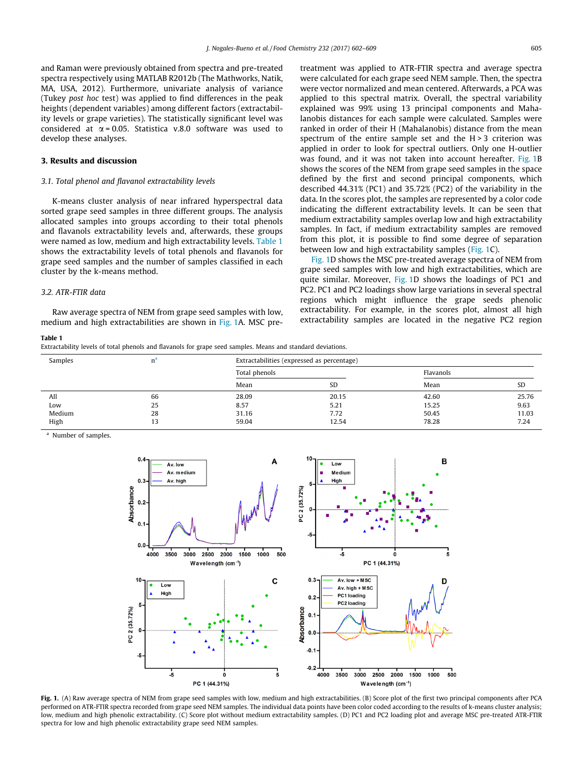<span id="page-5-0"></span>and Raman were previously obtained from spectra and pre-treated spectra respectively using MATLAB R2012b (The Mathworks, Natik, MA, USA, 2012). Furthermore, univariate analysis of variance (Tukey post hoc test) was applied to find differences in the peak heights (dependent variables) among different factors (extractability levels or grape varieties). The statistically significant level was considered at  $\alpha$  = 0.05. Statistica v.8.0 software was used to develop these analyses.

### 3. Results and discussion

#### 3.1. Total phenol and flavanol extractability levels

K-means cluster analysis of near infrared hyperspectral data sorted grape seed samples in three different groups. The analysis allocated samples into groups according to their total phenols and flavanols extractability levels and, afterwards, these groups were named as low, medium and high extractability levels. Table 1 shows the extractability levels of total phenols and flavanols for grape seed samples and the number of samples classified in each cluster by the k-means method.

#### 3.2. ATR-FTIR data

Raw average spectra of NEM from grape seed samples with low, medium and high extractabilities are shown in Fig. 1A. MSC pretreatment was applied to ATR-FTIR spectra and average spectra were calculated for each grape seed NEM sample. Then, the spectra were vector normalized and mean centered. Afterwards, a PCA was applied to this spectral matrix. Overall, the spectral variability explained was 99% using 13 principal components and Mahalanobis distances for each sample were calculated. Samples were ranked in order of their H (Mahalanobis) distance from the mean spectrum of the entire sample set and the  $H > 3$  criterion was applied in order to look for spectral outliers. Only one H-outlier was found, and it was not taken into account hereafter. Fig. 1B shows the scores of the NEM from grape seed samples in the space defined by the first and second principal components, which described 44.31% (PC1) and 35.72% (PC2) of the variability in the data. In the scores plot, the samples are represented by a color code indicating the different extractability levels. It can be seen that medium extractability samples overlap low and high extractability samples. In fact, if medium extractability samples are removed from this plot, it is possible to find some degree of separation between low and high extractability samples (Fig. 1C).

Fig. 1D shows the MSC pre-treated average spectra of NEM from grape seed samples with low and high extractabilities, which are quite similar. Moreover, Fig. 1D shows the loadings of PC1 and PC2. PC1 and PC2 loadings show large variations in several spectral regions which might influence the grape seeds phenolic extractability. For example, in the scores plot, almost all high extractability samples are located in the negative PC2 region

#### Table 1

Extractability levels of total phenols and flavanols for grape seed samples. Means and standard deviations.

| Samples | $n^{\circ}$ | Extractabilities (expressed as percentage) |       |       |           |  |
|---------|-------------|--------------------------------------------|-------|-------|-----------|--|
|         |             | Total phenols                              |       |       | Flavanols |  |
|         |             | Mean                                       | SD    | Mean  | <b>SD</b> |  |
| All     | 66          | 28.09                                      | 20.15 | 42.60 | 25.76     |  |
| Low     | 25          | 8.57                                       | 5.21  | 15.25 | 9.63      |  |
| Medium  | 28          | 31.16                                      | 7.72  | 50.45 | 11.03     |  |
| High    | 13          | 59.04                                      | 12.54 | 78.28 | 7.24      |  |

Number of samples.



Fig. 1. (A) Raw average spectra of NEM from grape seed samples with low, medium and high extractabilities. (B) Score plot of the first two principal components after PCA performed on ATR-FTIR spectra recorded from grape seed NEM samples. The individual data points have been color coded according to the results of k-means cluster analysis; low, medium and high phenolic extractability. (C) Score plot without medium extractability samples. (D) PC1 and PC2 loading plot and average MSC pre-treated ATR-FTIR spectra for low and high phenolic extractability grape seed NEM samples.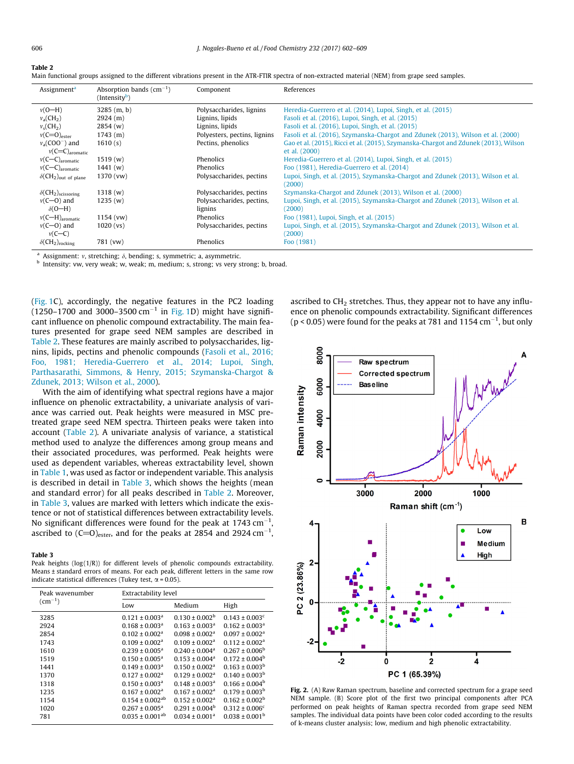<span id="page-6-0"></span>

|--|--|

Main functional groups assigned to the different vibrations present in the ATR-FTIR spectra of non-extracted material (NEM) from grape seed samples.

| Assignment <sup>a</sup>                             | Absorption bands $(cm^{-1})$<br>$(Intensity^b)$ | Component                    | References                                                                          |
|-----------------------------------------------------|-------------------------------------------------|------------------------------|-------------------------------------------------------------------------------------|
| $v(O-H)$                                            | $3285$ (m, b)                                   | Polysaccharides, lignins     | Heredia-Guerrero et al. (2014), Lupoi, Singh, et al. (2015)                         |
| $v_a$ (CH <sub>2</sub> )                            | 2924(m)                                         | Lignins, lipids              | Fasoli et al. (2016), Lupoi, Singh, et al. (2015)                                   |
| $v_s$ (CH <sub>2</sub> )                            | 2854(w)                                         | Lignins, lipids              | Fasoli et al. (2016), Lupoi, Singh, et al. (2015)                                   |
| $v(C=0)_{\text{ester}}$                             | 1743(m)                                         | Polyesters, pectins, lignins | Fasoli et al. (2016), Szymanska-Chargot and Zdunek (2013), Wilson et al. (2000)     |
| $v_a$ (COO <sup>-</sup> ) and                       | 1610(s)                                         | Pectins, phenolics           | Gao et al. (2015), Ricci et al. (2015), Szymanska-Chargot and Zdunek (2013), Wilson |
| $v(C=C)$ <sub>aromatic</sub>                        |                                                 |                              | et al. (2000)                                                                       |
| $v(C-C)_{\text{aromatic}}$                          | 1519(w)                                         | Phenolics                    | Heredia-Guerrero et al. (2014), Lupoi, Singh, et al. (2015)                         |
| $v(C-C)_{\text{aromatic}}$                          | 1441(w)                                         | Phenolics                    | Foo (1981), Heredia-Guerrero et al. (2014)                                          |
| $\delta$ (CH <sub>2</sub> ) <sub>out of plane</sub> | 1370 (vw)                                       | Polysaccharides, pectins     | Lupoi, Singh, et al. (2015), Szymanska-Chargot and Zdunek (2013), Wilson et al.     |
|                                                     |                                                 |                              | (2000)                                                                              |
| $\delta$ (CH <sub>2</sub> ) <sub>scissoring</sub>   | 1318(w)                                         | Polysaccharides, pectins     | Szymanska-Chargot and Zdunek (2013), Wilson et al. (2000)                           |
| $v(C=0)$ and                                        | 1235(w)                                         | Polysaccharides, pectins,    | Lupoi, Singh, et al. (2015), Szymanska-Chargot and Zdunek (2013), Wilson et al.     |
| $\delta$ (O-H)                                      |                                                 | lignins                      | (2000)                                                                              |
| $v(C-H)_{\rm aromatic}$                             | $1154$ (vw)                                     | Phenolics                    | Foo (1981), Lupoi, Singh, et al. (2015)                                             |
| $v(C=0)$ and                                        | 1020 (vs)                                       | Polysaccharides, pectins     | Lupoi, Singh, et al. (2015), Szymanska-Chargot and Zdunek (2013), Wilson et al.     |
| $v(C-C)$                                            |                                                 |                              | (2000)                                                                              |
| $\delta$ (CH <sub>2</sub> ) <sub>rocking</sub>      | 781 (vw)                                        | Phenolics                    | Foo (1981)                                                                          |

Assignment: v, stretching;  $\delta$ , bending; s, symmetric; a, asymmetric.

**b** Intensity: vw, very weak; w, weak; m, medium; s, strong; vs very strong; b, broad.

([Fig. 1C](#page-5-0)), accordingly, the negative features in the PC2 loading (1250–1700 and 3000–3500 cm<sup>-1</sup> in [Fig. 1D](#page-5-0)) might have significant influence on phenolic compound extractability. The main features presented for grape seed NEM samples are described in Table 2. These features are mainly ascribed to polysaccharides, lignins, lipids, pectins and phenolic compounds ([Fasoli et al., 2016;](#page-8-0) [Foo, 1981; Heredia-Guerrero et al., 2014; Lupoi, Singh,](#page-8-0) [Parthasarathi, Simmons, & Henry, 2015; Szymanska-Chargot &](#page-8-0) [Zdunek, 2013; Wilson et al., 2000](#page-8-0)).

With the aim of identifying what spectral regions have a major influence on phenolic extractability, a univariate analysis of variance was carried out. Peak heights were measured in MSC pretreated grape seed NEM spectra. Thirteen peaks were taken into account (Table 2). A univariate analysis of variance, a statistical method used to analyze the differences among group means and their associated procedures, was performed. Peak heights were used as dependent variables, whereas extractability level, shown in [Table 1,](#page-5-0) was used as factor or independent variable. This analysis is described in detail in Table 3, which shows the heights (mean and standard error) for all peaks described in Table 2. Moreover, in Table 3, values are marked with letters which indicate the existence or not of statistical differences between extractability levels. No significant differences were found for the peak at 1743  $\rm cm^{-1}$ , ascribed to  $(C=O)_{\rm ester}$ , and for the peaks at 2854 and 2924 cm $^{-1}$ ,

#### Table 3

Peak heights ( $log(1/R)$ ) for different levels of phenolic compounds extractability. Means ± standard errors of means. For each peak, different letters in the same row indicate statistical differences (Tukey test,  $\alpha$  = 0.05).

| Peak wavenumber | Extractability level           |                                |                                |  |
|-----------------|--------------------------------|--------------------------------|--------------------------------|--|
| $\rm (cm^{-1})$ | Low                            | Medium                         | High                           |  |
| 3285            | $0.121 \pm 0.003$ <sup>a</sup> | $0.130 \pm 0.002^{\rm b}$      | $0.143 \pm 0.003$ <sup>c</sup> |  |
| 2924            | $0.168 \pm 0.003$ <sup>a</sup> | $0.163 \pm 0.003$ <sup>a</sup> | $0.162 \pm 0.003$ <sup>a</sup> |  |
| 2854            | $0.102 \pm 0.002$ <sup>a</sup> | $0.098 \pm 0.002$ <sup>a</sup> | $0.097 \pm 0.002$ <sup>a</sup> |  |
| 1743            | $0.109 \pm 0.002^a$            | $0.109 \pm 0.002^a$            | $0.112 \pm 0.002$ <sup>a</sup> |  |
| 1610            | $0.239 \pm 0.005^a$            | $0.240 \pm 0.004$ <sup>a</sup> | $0.267 \pm 0.006^b$            |  |
| 1519            | $0.150 \pm 0.005^a$            | $0.153 \pm 0.004^a$            | $0.172 \pm 0.004^b$            |  |
| 1441            | $0.149 \pm 0.003$ <sup>a</sup> | $0.150 \pm 0.002^a$            | $0.163 \pm 0.003^b$            |  |
| 1370            | $0.127 \pm 0.002$ <sup>a</sup> | $0.129 \pm 0.002$ <sup>a</sup> | $0.140 \pm 0.003^b$            |  |
| 1318            | $0.150 \pm 0.003$ <sup>a</sup> | $0.148 \pm 0.003$ <sup>a</sup> | $0.166 \pm 0.004^b$            |  |
| 1235            | $0.167 \pm 0.002$ <sup>a</sup> | $0.167 \pm 0.002$ <sup>a</sup> | $0.179 \pm 0.003^b$            |  |
| 1154            | $0.154 \pm 0.002^{ab}$         | $0.152 \pm 0.002^a$            | $0.162 \pm 0.002^b$            |  |
| 1020            | $0.267 \pm 0.005^a$            | $0.291 \pm 0.004^b$            | $0.312 \pm 0.006^c$            |  |
| 781             | $0.035 \pm 0.001^{ab}$         | $0.034 \pm 0.001^a$            | $0.038 \pm 0.001^{\circ}$      |  |

ascribed to  $CH<sub>2</sub>$  stretches. Thus, they appear not to have any influence on phenolic compounds extractability. Significant differences ( $p < 0.05$ ) were found for the peaks at 781 and 1154 cm<sup>-1</sup>, but only



Fig. 2. (A) Raw Raman spectrum, baseline and corrected spectrum for a grape seed NEM sample. (B) Score plot of the first two principal components after PCA performed on peak heights of Raman spectra recorded from grape seed NEM samples. The individual data points have been color coded according to the results of k-means cluster analysis; low, medium and high phenolic extractability.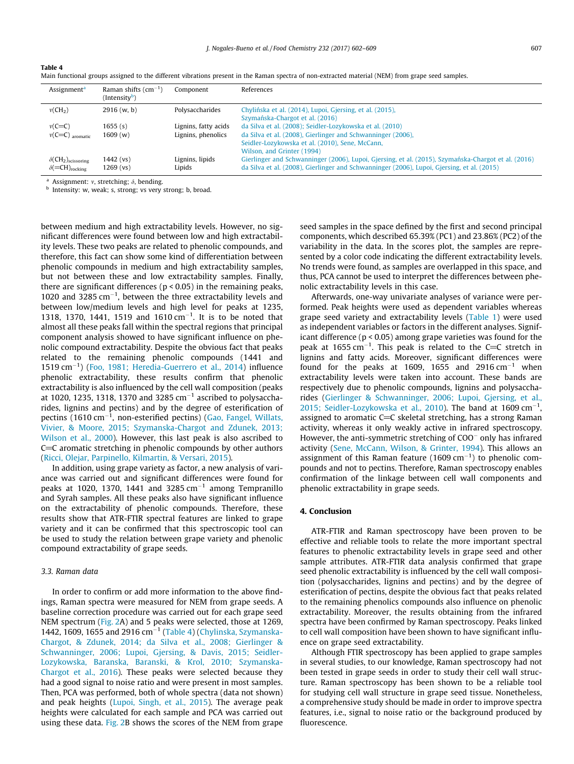| Assignment <sup>a</sup>                                                                | Raman shifts $(cm^{-1})$<br>(Intensity <sup>b</sup> ) | Component                 | References                                                                                                                                                                                        |
|----------------------------------------------------------------------------------------|-------------------------------------------------------|---------------------------|---------------------------------------------------------------------------------------------------------------------------------------------------------------------------------------------------|
| $v(CH_2)$                                                                              | 2916(w, b)                                            | Polysaccharides           | Chylińska et al. (2014), Lupoi, Gjersing, et al. (2015),<br>Szymańska-Chargot et al. (2016)                                                                                                       |
| $v(C=C)$                                                                               | 1655(s)                                               | Lignins, fatty acids      | da Silva et al. (2008); Seidler-Lozykowska et al. (2010)                                                                                                                                          |
| $v(C=C)$ aromatic                                                                      | 1609(w)                                               | Lignins, phenolics        | da Silva et al. (2008), Gierlinger and Schwanninger (2006),<br>Seidler-Lozykowska et al. (2010), Sene, McCann,<br>Wilson, and Grinter (1994)                                                      |
| $\delta$ (CH <sub>2</sub> ) <sub>scissoring</sub><br>$\delta$ (=CH) <sub>rocking</sub> | $1442$ (vs)<br>$1269$ (vs)                            | Lignins, lipids<br>Lipids | Gierlinger and Schwanninger (2006), Lupoi, Gjersing, et al. (2015), Szymańska-Chargot et al. (2016)<br>da Silva et al. (2008), Gierlinger and Schwanninger (2006), Lupoi, Gjersing, et al. (2015) |

| Table 4                                                                                                                                           |
|---------------------------------------------------------------------------------------------------------------------------------------------------|
| Main functional groups assigned to the different vibrations present in the Raman spectra of non-extracted material (NEM) from grape seed samples. |

<sup>a</sup> Assignment: v, stretching;  $\delta$ , bending.

b Intensity: w, weak; s, strong; vs very strong; b, broad.

between medium and high extractability levels. However, no significant differences were found between low and high extractability levels. These two peaks are related to phenolic compounds, and therefore, this fact can show some kind of differentiation between phenolic compounds in medium and high extractability samples, but not between these and low extractability samples. Finally, there are significant differences ( $p < 0.05$ ) in the remaining peaks, 1020 and 3285  $cm^{-1}$ , between the three extractability levels and between low/medium levels and high level for peaks at 1235, 1318, 1370, 1441, 1519 and  $1610 \text{ cm}^{-1}$ . It is to be noted that almost all these peaks fall within the spectral regions that principal component analysis showed to have significant influence on phenolic compound extractability. Despite the obvious fact that peaks related to the remaining phenolic compounds (1441 and 1519 cm<sup>-1</sup>) ([Foo, 1981; Heredia-Guerrero et al., 2014](#page-8-0)) influence phenolic extractability, these results confirm that phenolic extractability is also influenced by the cell wall composition (peaks at 1020, 1235, 1318, 1370 and 3285  $cm^{-1}$  ascribed to polysaccharides, lignins and pectins) and by the degree of esterification of pectins (1610 cm $^{-1}$ , non-esterified pectins) [\(Gao, Fangel, Willats,](#page-8-0) [Vivier, & Moore, 2015; Szymanska-Chargot and Zdunek, 2013;](#page-8-0) [Wilson et al., 2000](#page-8-0)). However, this last peak is also ascribed to  $C=C$  aromatic stretching in phenolic compounds by other authors ([Ricci, Olejar, Parpinello, Kilmartin, & Versari, 2015\)](#page-8-0).

In addition, using grape variety as factor, a new analysis of variance was carried out and significant differences were found for peaks at 1020, 1370, 1441 and 3285  $cm^{-1}$  among Tempranillo and Syrah samples. All these peaks also have significant influence on the extractability of phenolic compounds. Therefore, these results show that ATR-FTIR spectral features are linked to grape variety and it can be confirmed that this spectroscopic tool can be used to study the relation between grape variety and phenolic compound extractability of grape seeds.

#### 3.3. Raman data

In order to confirm or add more information to the above findings, Raman spectra were measured for NEM from grape seeds. A baseline correction procedure was carried out for each grape seed NEM spectrum ([Fig. 2](#page-6-0)A) and 5 peaks were selected, those at 1269, 1442, 1609, 1655 and 2916  $cm^{-1}$  (Table 4) [\(Chylinska, Szymanska-](#page-8-0)[Chargot, & Zdunek, 2014; da Silva et al., 2008; Gierlinger &](#page-8-0) [Schwanninger, 2006; Lupoi, Gjersing, & Davis, 2015; Seidler-](#page-8-0)[Lozykowska, Baranska, Baranski, & Krol, 2010; Szymanska-](#page-8-0)[Chargot et al., 2016](#page-8-0)). These peaks were selected because they had a good signal to noise ratio and were present in most samples. Then, PCA was performed, both of whole spectra (data not shown) and peak heights [\(Lupoi, Singh, et al., 2015\)](#page-8-0). The average peak heights were calculated for each sample and PCA was carried out using these data. [Fig. 2B](#page-6-0) shows the scores of the NEM from grape seed samples in the space defined by the first and second principal components, which described 65.39% (PC1) and 23.86% (PC2) of the variability in the data. In the scores plot, the samples are represented by a color code indicating the different extractability levels. No trends were found, as samples are overlapped in this space, and thus, PCA cannot be used to interpret the differences between phenolic extractability levels in this case.

Afterwards, one-way univariate analyses of variance were performed. Peak heights were used as dependent variables whereas grape seed variety and extractability levels ([Table 1\)](#page-5-0) were used as independent variables or factors in the different analyses. Significant difference (p < 0.05) among grape varieties was found for the peak at  $1655 \text{ cm}^{-1}$ . This peak is related to the C=C stretch in lignins and fatty acids. Moreover, significant differences were found for the peaks at 1609, 1655 and  $2916 \text{ cm}^{-1}$  when extractability levels were taken into account. These bands are respectively due to phenolic compounds, lignins and polysaccharides [\(Gierlinger & Schwanninger, 2006; Lupoi, Gjersing, et al.,](#page-8-0) [2015; Seidler-Lozykowska et al., 2010](#page-8-0)). The band at  $1609 \text{ cm}^{-1}$ , assigned to aromatic  $C=C$  skeletal stretching, has a strong Raman activity, whereas it only weakly active in infrared spectroscopy. However, the anti-symmetric stretching of  $COO<sup>-</sup>$  only has infrared activity [\(Sene, McCann, Wilson, & Grinter, 1994\)](#page-8-0). This allows an assignment of this Raman feature (1609  $cm^{-1}$ ) to phenolic compounds and not to pectins. Therefore, Raman spectroscopy enables confirmation of the linkage between cell wall components and phenolic extractability in grape seeds.

#### 4. Conclusion

ATR-FTIR and Raman spectroscopy have been proven to be effective and reliable tools to relate the more important spectral features to phenolic extractability levels in grape seed and other sample attributes. ATR-FTIR data analysis confirmed that grape seed phenolic extractability is influenced by the cell wall composition (polysaccharides, lignins and pectins) and by the degree of esterification of pectins, despite the obvious fact that peaks related to the remaining phenolics compounds also influence on phenolic extractability. Moreover, the results obtaining from the infrared spectra have been confirmed by Raman spectroscopy. Peaks linked to cell wall composition have been shown to have significant influence on grape seed extractability.

Although FTIR spectroscopy has been applied to grape samples in several studies, to our knowledge, Raman spectroscopy had not been tested in grape seeds in order to study their cell wall structure. Raman spectroscopy has been shown to be a reliable tool for studying cell wall structure in grape seed tissue. Nonetheless, a comprehensive study should be made in order to improve spectra features, i.e., signal to noise ratio or the background produced by fluorescence.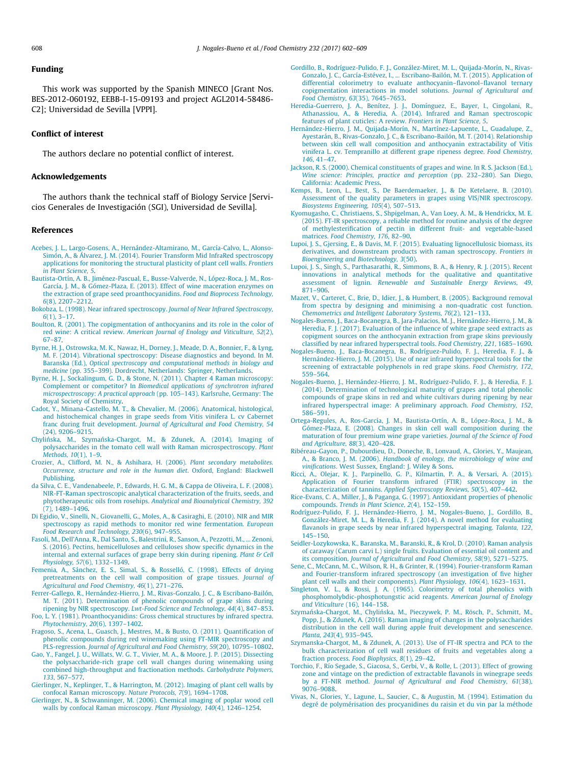#### <span id="page-8-0"></span>Funding

This work was supported by the Spanish MINECO [Grant Nos. BES-2012-060192, EEBB-I-15-09193 and project AGL2014-58486- C2]; Universidad de Sevilla [VPPI].

#### Conflict of interest

The authors declare no potential conflict of interest.

#### Acknowledgements

The authors thank the technical staff of Biology Service [Servicios Generales de Investigación (SGI), Universidad de Sevilla].

#### References

- [Acebes, J. L., Largo-Gosens, A., Hernández-Altamirano, M., García-Calvo, L., Alonso-](http://refhub.elsevier.com/S0308-8146(17)30621-0/h0005)[Simón, A., & Álvarez, J. M. \(2014\). Fourier Transform Mid InfraRed spectroscopy](http://refhub.elsevier.com/S0308-8146(17)30621-0/h0005) [applications for monitoring the structural plasticity of plant cell walls.](http://refhub.elsevier.com/S0308-8146(17)30621-0/h0005) Frontiers [in Plant Science, 5](http://refhub.elsevier.com/S0308-8146(17)30621-0/h0005).
- [Bautista-Ortín, A. B., Jiménez-Pascual, E., Busse-Valverde, N., López-Roca, J. M., Ros-](http://refhub.elsevier.com/S0308-8146(17)30621-0/h0010)[García, J. M., & Gómez-Plaza, E. \(2013\). Effect of wine maceration enzymes on](http://refhub.elsevier.com/S0308-8146(17)30621-0/h0010) [the extraction of grape seed proanthocyanidins.](http://refhub.elsevier.com/S0308-8146(17)30621-0/h0010) Food and Bioprocess Technology, 6[\(8\), 2207–2212.](http://refhub.elsevier.com/S0308-8146(17)30621-0/h0010)
- [Bokobza, L. \(1998\). Near infrared spectroscopy.](http://refhub.elsevier.com/S0308-8146(17)30621-0/h0015) Journal of Near Infrared Spectroscopy, 6[\(1\), 3–17.](http://refhub.elsevier.com/S0308-8146(17)30621-0/h0015)
- [Boulton, R. \(2001\). The copigmentation of anthocyanins and its role in the color of](http://refhub.elsevier.com/S0308-8146(17)30621-0/h0020) red wine: A critical review. [American Journal of Enology and Viticulture, 52](http://refhub.elsevier.com/S0308-8146(17)30621-0/h0020)(2), [67–87.](http://refhub.elsevier.com/S0308-8146(17)30621-0/h0020)
- [Byrne, H. J., Ostrowska, M. K., Nawaz, H., Dorney, J., Meade, D. A., Bonnier, F., & Lyng,](http://refhub.elsevier.com/S0308-8146(17)30621-0/h0025) [M. F. \(2014\). Vibrational spectroscopy: Disease diagnostics and beyond. In M.](http://refhub.elsevier.com/S0308-8146(17)30621-0/h0025) Baranska (Ed.), [Optical spectroscopy and computational methods in biology and](http://refhub.elsevier.com/S0308-8146(17)30621-0/h0025) medicine [\(pp. 355–399\). Dordrecht, Netherlands: Springer, Netherlands.](http://refhub.elsevier.com/S0308-8146(17)30621-0/h0025)
- [Byrne, H. J., Sockalingum, G. D., & Stone, N. \(2011\). Chapter 4 Raman microscopy:](http://refhub.elsevier.com/S0308-8146(17)30621-0/h0030) Complement or competitor? In [Biomedical applications of synchrotron infrared](http://refhub.elsevier.com/S0308-8146(17)30621-0/h0030) microspectroscopy: A practical approach [\(pp. 105–143\). Karlsruhe, Germany: The](http://refhub.elsevier.com/S0308-8146(17)30621-0/h0030) [Royal Society of Chemistry](http://refhub.elsevier.com/S0308-8146(17)30621-0/h0030).
- [Cadot, Y., Minana-Castello, M. T., & Chevalier, M. \(2006\). Anatomical, histological,](http://refhub.elsevier.com/S0308-8146(17)30621-0/h0035) [and histochemical changes in grape seeds from Vitis vinifera L. cv Cabernet](http://refhub.elsevier.com/S0308-8146(17)30621-0/h0035) franc during fruit development. [Journal of Agricultural and Food Chemistry, 54](http://refhub.elsevier.com/S0308-8146(17)30621-0/h0035) [\(24\), 9206–9215](http://refhub.elsevier.com/S0308-8146(17)30621-0/h0035).
- Chylińska, M., Szymań[ska-Chargot, M., & Zdunek, A. \(2014\). Imaging of](http://refhub.elsevier.com/S0308-8146(17)30621-0/h0040) [polysaccharides in the tomato cell wall with Raman microspectroscopy.](http://refhub.elsevier.com/S0308-8146(17)30621-0/h0040) Plant [Methods, 10](http://refhub.elsevier.com/S0308-8146(17)30621-0/h0040)(1), 1–9.
- [Crozier, A., Clifford, M. N., & Ashihara, H. \(2006\).](http://refhub.elsevier.com/S0308-8146(17)30621-0/h0045) Plant secondary metabolites. [Occurrence, structure and role in the human diet](http://refhub.elsevier.com/S0308-8146(17)30621-0/h0045). Oxford, England: Blackwell [Publishing](http://refhub.elsevier.com/S0308-8146(17)30621-0/h0045).
- [da Silva, C. E., Vandenabeele, P., Edwards, H. G. M., & Cappa de Oliveira, L. F. \(2008\).](http://refhub.elsevier.com/S0308-8146(17)30621-0/h0050) [NIR-FT-Raman spectroscopic analytical characterization of the fruits, seeds, and](http://refhub.elsevier.com/S0308-8146(17)30621-0/h0050) phytotherapeutic oils from rosehips. [Analytical and Bioanalytical Chemistry, 392](http://refhub.elsevier.com/S0308-8146(17)30621-0/h0050)  $(7)$ , 1489–1496.
- [Di Egidio, V., Sinelli, N., Giovanelli, G., Moles, A., & Casiraghi, E. \(2010\). NIR and MIR](http://refhub.elsevier.com/S0308-8146(17)30621-0/h0055) [spectroscopy as rapid methods to monitor red wine fermentation.](http://refhub.elsevier.com/S0308-8146(17)30621-0/h0055) European [Food Research and Technology, 230](http://refhub.elsevier.com/S0308-8146(17)30621-0/h0055)(6), 947–955.
- [Fasoli, M., Dell'Anna, R., Dal Santo, S., Balestrini, R., Sanson, A., Pezzotti, M., ... Zenoni,](http://refhub.elsevier.com/S0308-8146(17)30621-0/h0060) [S. \(2016\). Pectins, hemicelluloses and celluloses show specific dynamics in the](http://refhub.elsevier.com/S0308-8146(17)30621-0/h0060) [internal and external surfaces of grape berry skin during ripening.](http://refhub.elsevier.com/S0308-8146(17)30621-0/h0060) Plant & Cell Physiology, 57[\(6\), 1332–1349.](http://refhub.elsevier.com/S0308-8146(17)30621-0/h0060)
- [Femenia, A., Sánchez, E. S., Simal, S., & Rosselló, C. \(1998\). Effects of drying](http://refhub.elsevier.com/S0308-8146(17)30621-0/h0065) [pretreatments on the cell wall composition of grape tissues.](http://refhub.elsevier.com/S0308-8146(17)30621-0/h0065) Journal of [Agricultural and Food Chemistry, 46](http://refhub.elsevier.com/S0308-8146(17)30621-0/h0065)(1), 271–276.
- [Ferrer-Gallego, R., Hernández-Hierro, J. M., Rivas-Gonzalo, J. C., & Escribano-Bailón,](http://refhub.elsevier.com/S0308-8146(17)30621-0/h0070) [M. T. \(2011\). Determination of phenolic compounds of grape skins during](http://refhub.elsevier.com/S0308-8146(17)30621-0/h0070) ripening by NIR spectroscopy. [Lwt-Food Science and Technology, 44](http://refhub.elsevier.com/S0308-8146(17)30621-0/h0070)(4), 847–853.
- [Foo, L. Y. \(1981\). Proanthocyanidins: Gross chemical structures by infrared spectra.](http://refhub.elsevier.com/S0308-8146(17)30621-0/h0075) [Phytochemistry, 20](http://refhub.elsevier.com/S0308-8146(17)30621-0/h0075)(6), 1397–1402.
- [Fragoso, S., Acena, L., Guasch, J., Mestres, M., & Busto, O. \(2011\). Quantification of](http://refhub.elsevier.com/S0308-8146(17)30621-0/h0080) [phenolic compounds during red winemaking using FT-MIR spectroscopy and](http://refhub.elsevier.com/S0308-8146(17)30621-0/h0080) PLS-regression. [Journal of Agricultural and Food Chemistry, 59](http://refhub.elsevier.com/S0308-8146(17)30621-0/h0080)(20), 10795–10802.
- [Gao, Y., Fangel, J. U., Willats, W. G. T., Vivier, M. A., & Moore, J. P. \(2015\). Dissecting](http://refhub.elsevier.com/S0308-8146(17)30621-0/h0085) [the polysaccharide-rich grape cell wall changes during winemaking using](http://refhub.elsevier.com/S0308-8146(17)30621-0/h0085) [combined high-throughput and fractionation methods.](http://refhub.elsevier.com/S0308-8146(17)30621-0/h0085) Carbohydrate Polymers, 133[, 567–577.](http://refhub.elsevier.com/S0308-8146(17)30621-0/h0085)
- [Gierlinger, N., Keplinger, T., & Harrington, M. \(2012\). Imaging of plant cell walls by](http://refhub.elsevier.com/S0308-8146(17)30621-0/h0090) [confocal Raman microscopy.](http://refhub.elsevier.com/S0308-8146(17)30621-0/h0090) Nature Protocols, 7(9), 1694–1708.
- [Gierlinger, N., & Schwanninger, M. \(2006\). Chemical imaging of poplar wood cell](http://refhub.elsevier.com/S0308-8146(17)30621-0/h0095) [walls by confocal Raman microscopy.](http://refhub.elsevier.com/S0308-8146(17)30621-0/h0095) Plant Physiology, 140(4), 1246–1254.
- [Gordillo, B., Rodríguez-Pulido, F. J., González-Miret, M. L., Quijada-Morín, N., Rivas-](http://refhub.elsevier.com/S0308-8146(17)30621-0/h0100)[Gonzalo, J. C., García-Estévez, I., ... Escribano-Bailón, M. T. \(2015\). Application of](http://refhub.elsevier.com/S0308-8146(17)30621-0/h0100) [differential colorimetry to evaluate anthocyanin–flavonol–flavanol ternary](http://refhub.elsevier.com/S0308-8146(17)30621-0/h0100) [copigmentation interactions in model solutions.](http://refhub.elsevier.com/S0308-8146(17)30621-0/h0100) Journal of Agricultural and [Food Chemistry, 63](http://refhub.elsevier.com/S0308-8146(17)30621-0/h0100)(35), 7645–7653.
- [Heredia-Guerrero, J. A., Benítez, J. J., Domínguez, E., Bayer, I., Cingolani, R.,](http://refhub.elsevier.com/S0308-8146(17)30621-0/h0105) [Athanassiou, A., & Heredia, A. \(2014\). Infrared and Raman spectroscopic](http://refhub.elsevier.com/S0308-8146(17)30621-0/h0105) [features of plant cuticles: A review.](http://refhub.elsevier.com/S0308-8146(17)30621-0/h0105) Frontiers in Plant Science, 5.
- [Hernández-Hierro, J. M., Quijada-Morín, N., Martínez-Lapuente, L., Guadalupe, Z.,](http://refhub.elsevier.com/S0308-8146(17)30621-0/h0110) [Ayestarán, B., Rivas-Gonzalo, J. C., & Escribano-Bailón, M. T. \(2014\). Relationship](http://refhub.elsevier.com/S0308-8146(17)30621-0/h0110) [between skin cell wall composition and anthocyanin extractability of Vitis](http://refhub.elsevier.com/S0308-8146(17)30621-0/h0110) [vinifera L. cv. Tempranillo at different grape ripeness degree.](http://refhub.elsevier.com/S0308-8146(17)30621-0/h0110) Food Chemistry, 146[, 41–47](http://refhub.elsevier.com/S0308-8146(17)30621-0/h0110).
- [Jackson, R. S. \(2000\). Chemical constituents of grapes and wine. In R. S. Jackson \(Ed.\),](http://refhub.elsevier.com/S0308-8146(17)30621-0/h0115) [Wine science: Principles, practice and perception](http://refhub.elsevier.com/S0308-8146(17)30621-0/h0115) (pp. 232–280). San Diego, [California: Academic Press](http://refhub.elsevier.com/S0308-8146(17)30621-0/h0115).
- [Kemps, B., Leon, L., Best, S., De Baerdemaeker, J., & De Ketelaere, B. \(2010\).](http://refhub.elsevier.com/S0308-8146(17)30621-0/h0120) [Assessment of the quality parameters in grapes using VIS/NIR spectroscopy.](http://refhub.elsevier.com/S0308-8146(17)30621-0/h0120) [Biosystems Engineering, 105](http://refhub.elsevier.com/S0308-8146(17)30621-0/h0120)(4), 507–513.
- [Kyomugasho, C., Christiaens, S., Shpigelman, A., Van Loey, A. M., & Hendrickx, M. E.](http://refhub.elsevier.com/S0308-8146(17)30621-0/h0125) [\(2015\). FT-IR spectroscopy, a reliable method for routine analysis of the degree](http://refhub.elsevier.com/S0308-8146(17)30621-0/h0125) [of methylesterification of pectin in different fruit- and vegetable-based](http://refhub.elsevier.com/S0308-8146(17)30621-0/h0125) matrices. [Food Chemistry, 176](http://refhub.elsevier.com/S0308-8146(17)30621-0/h0125), 82–90.
- [Lupoi, J. S., Gjersing, E., & Davis, M. F. \(2015\). Evaluating lignocellulosic biomass, its](http://refhub.elsevier.com/S0308-8146(17)30621-0/h0130) [derivatives, and downstream products with raman spectroscopy.](http://refhub.elsevier.com/S0308-8146(17)30621-0/h0130) Frontiers in [Bioengineering and Biotechnology, 3](http://refhub.elsevier.com/S0308-8146(17)30621-0/h0130)(50).
- [Lupoi, J. S., Singh, S., Parthasarathi, R., Simmons, B. A., & Henry, R. J. \(2015\). Recent](http://refhub.elsevier.com/S0308-8146(17)30621-0/h0135) [innovations in analytical methods for the qualitative and quantitative](http://refhub.elsevier.com/S0308-8146(17)30621-0/h0135) assessment of lignin. [Renewable and Sustainable Energy Reviews, 49](http://refhub.elsevier.com/S0308-8146(17)30621-0/h0135), [871–906](http://refhub.elsevier.com/S0308-8146(17)30621-0/h0135).
- [Mazet, V., Carteret, C., Brie, D., Idier, J., & Humbert, B. \(2005\). Background removal](http://refhub.elsevier.com/S0308-8146(17)30621-0/h0140) [from spectra by designing and minimising a non-quadratic cost function.](http://refhub.elsevier.com/S0308-8146(17)30621-0/h0140) [Chemometrics and Intelligent Laboratory Systems, 76](http://refhub.elsevier.com/S0308-8146(17)30621-0/h0140)(2), 121–133.
- [Nogales-Bueno, J., Baca-Bocanegra, B., Jara-Palacios, M. J., Hernández-Hierro, J. M., &](http://refhub.elsevier.com/S0308-8146(17)30621-0/h0145) [Heredia, F. J. \(2017\). Evaluation of the influence of white grape seed extracts as](http://refhub.elsevier.com/S0308-8146(17)30621-0/h0145) [copigment sources on the anthocyanin extraction from grape skins previously](http://refhub.elsevier.com/S0308-8146(17)30621-0/h0145) [classified by near infrared hyperspectral tools.](http://refhub.elsevier.com/S0308-8146(17)30621-0/h0145) Food Chemistry, 221, 1685–1690.
- [Nogales-Bueno, J., Baca-Bocanegra, B., Rodríguez-Pulido, F. J., Heredia, F. J., &](http://refhub.elsevier.com/S0308-8146(17)30621-0/h0150) [Hernández-Hierro, J. M. \(2015\). Use of near infrared hyperspectral tools for the](http://refhub.elsevier.com/S0308-8146(17)30621-0/h0150) [screening of extractable polyphenols in red grape skins.](http://refhub.elsevier.com/S0308-8146(17)30621-0/h0150) Food Chemistry, 172, [559–564](http://refhub.elsevier.com/S0308-8146(17)30621-0/h0150).
- [Nogales-Bueno, J., Hernández-Hierro, J. M., Rodríguez-Pulido, F. J., & Heredia, F. J.](http://refhub.elsevier.com/S0308-8146(17)30621-0/h0155) [\(2014\). Determination of technological maturity of grapes and total phenolic](http://refhub.elsevier.com/S0308-8146(17)30621-0/h0155) [compounds of grape skins in red and white cultivars during ripening by near](http://refhub.elsevier.com/S0308-8146(17)30621-0/h0155) [infrared hyperspectral image: A preliminary approach.](http://refhub.elsevier.com/S0308-8146(17)30621-0/h0155) Food Chemistry, 152, [586–591](http://refhub.elsevier.com/S0308-8146(17)30621-0/h0155).
- [Ortega-Regules, A., Ros-García, J. M., Bautista-Ortín, A. B., López-Roca, J. M., &](http://refhub.elsevier.com/S0308-8146(17)30621-0/h0160) [Gómez-Plaza, E. \(2008\). Changes in skin cell wall composition during the](http://refhub.elsevier.com/S0308-8146(17)30621-0/h0160) [maturation of four premium wine grape varieties.](http://refhub.elsevier.com/S0308-8146(17)30621-0/h0160) Journal of the Science of Food [and Agriculture, 88](http://refhub.elsevier.com/S0308-8146(17)30621-0/h0160)(3), 420–428.
- [Ribéreau-Gayon, P., Dubourdieu, D., Doneche, B., Lonvaud, A., Glories, Y., Maujean,](http://refhub.elsevier.com/S0308-8146(17)30621-0/h0165) A., & Branco, J. M. (2006). [Handbook of enology, the microbiology of wine and](http://refhub.elsevier.com/S0308-8146(17)30621-0/h0165) vinifications[. West Sussex, England: J. Wiley & Sons](http://refhub.elsevier.com/S0308-8146(17)30621-0/h0165).
- [Ricci, A., Olejar, K. J., Parpinello, G. P., Kilmartin, P. A., & Versari, A. \(2015\).](http://refhub.elsevier.com/S0308-8146(17)30621-0/h0170) [Application of Fourier transform infrared \(FTIR\) spectroscopy in the](http://refhub.elsevier.com/S0308-8146(17)30621-0/h0170) characterization of tannins. [Applied Spectroscopy Reviews, 50](http://refhub.elsevier.com/S0308-8146(17)30621-0/h0170)(5), 407–442.
- [Rice-Evans, C. A., Miller, J., & Paganga, G. \(1997\). Antioxidant properties of phenolic](http://refhub.elsevier.com/S0308-8146(17)30621-0/h0175) compounds. [Trends in Plant Science, 2](http://refhub.elsevier.com/S0308-8146(17)30621-0/h0175)(4), 152–159.
- [Rodríguez-Pulido, F. J., Hernández-Hierro, J. M., Nogales-Bueno, J., Gordillo, B.,](http://refhub.elsevier.com/S0308-8146(17)30621-0/h0180) [González-Miret, M. L., & Heredia, F. J. \(2014\). A novel method for evaluating](http://refhub.elsevier.com/S0308-8146(17)30621-0/h0180) [flavanols in grape seeds by near infrared hyperspectral imaging.](http://refhub.elsevier.com/S0308-8146(17)30621-0/h0180) Talanta, 122, [145–150](http://refhub.elsevier.com/S0308-8146(17)30621-0/h0180).
- [Seidler-Lozykowska, K., Baranska, M., Baranski, R., & Krol, D. \(2010\). Raman analysis](http://refhub.elsevier.com/S0308-8146(17)30621-0/h0185) [of caraway \(Carum carvi L.\) single fruits. Evaluation of essential oil content and](http://refhub.elsevier.com/S0308-8146(17)30621-0/h0185) its composition. [Journal of Agricultural and Food Chemistry, 58](http://refhub.elsevier.com/S0308-8146(17)30621-0/h0185)(9), 5271–5275.
- [Sene, C., McCann, M. C., Wilson, R. H., & Grinter, R. \(1994\). Fourier-transform Raman](http://refhub.elsevier.com/S0308-8146(17)30621-0/h0190) [and Fourier-transform infrared spectroscopy \(an investigation of five higher](http://refhub.elsevier.com/S0308-8146(17)30621-0/h0190)
- [plant cell walls and their components\).](http://refhub.elsevier.com/S0308-8146(17)30621-0/h0190) Plant Physiology, 106(4), 1623–1631. [Singleton, V. L., & Rossi, J. A. \(1965\). Colorimetry of total phenolics with](http://refhub.elsevier.com/S0308-8146(17)30621-0/h0195) [phosphomolybdic-phosphotungstic acid reagents.](http://refhub.elsevier.com/S0308-8146(17)30621-0/h0195) American Journal of Enology and Viticulture [\(16\), 144–158.](http://refhub.elsevier.com/S0308-8146(17)30621-0/h0195)
- Szymańska-Chargot, M., Chyliń[ska, M., Pieczywek, P. M., Rösch, P., Schmitt, M.,](http://refhub.elsevier.com/S0308-8146(17)30621-0/h0200) [Popp, J., & Zdunek, A. \(2016\). Raman imaging of changes in the polysaccharides](http://refhub.elsevier.com/S0308-8146(17)30621-0/h0200) [distribution in the cell wall during apple fruit development and senescence.](http://refhub.elsevier.com/S0308-8146(17)30621-0/h0200) Planta, 243[\(4\), 935–945](http://refhub.elsevier.com/S0308-8146(17)30621-0/h0200).
- [Szymanska-Chargot, M., & Zdunek, A. \(2013\). Use of FT-IR spectra and PCA to the](http://refhub.elsevier.com/S0308-8146(17)30621-0/h0205) [bulk characterization of cell wall residues of fruits and vegetables along a](http://refhub.elsevier.com/S0308-8146(17)30621-0/h0205) fraction process. [Food Biophysics, 8](http://refhub.elsevier.com/S0308-8146(17)30621-0/h0205)(1), 29–42.
- [Torchio, F., Río Segade, S., Giacosa, S., Gerbi, V., & Rolle, L. \(2013\). Effect of growing](http://refhub.elsevier.com/S0308-8146(17)30621-0/h0210) [zone and vintage on the prediction of extractable flavanols in winegrape seeds](http://refhub.elsevier.com/S0308-8146(17)30621-0/h0210) by a FT-NIR method. [Journal of Agricultural and Food Chemistry, 61](http://refhub.elsevier.com/S0308-8146(17)30621-0/h0210)(38), [9076–9088.](http://refhub.elsevier.com/S0308-8146(17)30621-0/h0210)
- [Vivas, N., Glories, Y., Lagune, L., Saucier, C., & Augustin, M. \(1994\). Estimation du](http://refhub.elsevier.com/S0308-8146(17)30621-0/h0215) [degré de polymérisation des procyanidines du raisin et du vin par la méthode](http://refhub.elsevier.com/S0308-8146(17)30621-0/h0215)